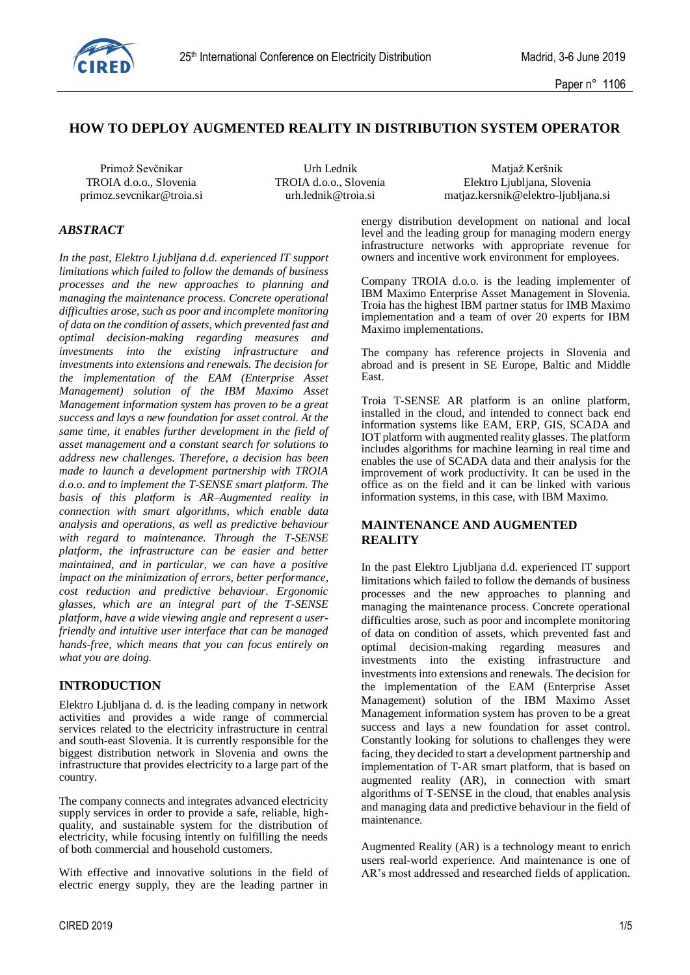

### **HOW TO DEPLOY AUGMENTED REALITY IN DISTRIBUTION SYSTEM OPERATOR**

Primož Sevčnikar Natiaž Keršnik Vrh Lednik Matjaž Keršnik Matjaž Keršnik Matjaž Keršnik Matjaž Keršnik Matjaž Keršnik TROIA d.o.o., Slovenia TROIA d.o.o., Slovenia Elektro Ljubljana, Slovenia primoz.sevcnikar@troia.si urh.lednik@troia.si matjaz.kersnik@elektro-ljubljana.si

#### *ABSTRACT*

*In the past, Elektro Ljubljana d.d. experienced IT support limitations which failed to follow the demands of business processes and the new approaches to planning and managing the maintenance process. Concrete operational difficulties arose, such as poor and incomplete monitoring of data on the condition of assets, which prevented fast and optimal decision-making regarding measures and investments into the existing infrastructure and investments into extensions and renewals. The decision for the implementation of the EAM (Enterprise Asset Management) solution of the IBM Maximo Asset Management information system has proven to be a great success and lays a new foundation for asset control. At the same time, it enables further development in the field of asset management and a constant search for solutions to address new challenges. Therefore, a decision has been made to launch a development partnership with TROIA d.o.o. and to implement the T-SENSE smart platform. The basis of this platform is AR–Augmented reality in connection with smart algorithms, which enable data analysis and operations, as well as predictive behaviour with regard to maintenance. Through the T-SENSE platform, the infrastructure can be easier and better maintained, and in particular, we can have a positive impact on the minimization of errors, better performance, cost reduction and predictive behaviour. Ergonomic glasses, which are an integral part of the T-SENSE platform, have a wide viewing angle and represent a userfriendly and intuitive user interface that can be managed hands-free, which means that you can focus entirely on what you are doing.*

#### **INTRODUCTION**

Elektro Ljubljana d. d. is the leading company in network activities and provides a wide range of commercial services related to the electricity infrastructure in central and south-east Slovenia. It is currently responsible for the biggest distribution network in Slovenia and owns the infrastructure that provides electricity to a large part of the country.

The company connects and integrates advanced electricity supply services in order to provide a safe, reliable, highquality, and sustainable system for the distribution of electricity, while focusing intently on fulfilling the needs of both commercial and household customers.

With effective and innovative solutions in the field of electric energy supply, they are the leading partner in energy distribution development on national and local level and the leading group for managing modern energy infrastructure networks with appropriate revenue for owners and incentive work environment for employees.

Company TROIA d.o.o. is the leading implementer of IBM Maximo Enterprise Asset Management in Slovenia. Troia has the highest IBM partner status for IMB Maximo implementation and a team of over 20 experts for IBM Maximo implementations.

The company has reference projects in Slovenia and abroad and is present in SE Europe, Baltic and Middle East.

Troia T-SENSE AR platform is an online platform, installed in the cloud, and intended to connect back end information systems like EAM, ERP, GIS, SCADA and IOT platform with augmented reality glasses. The platform includes algorithms for machine learning in real time and enables the use of SCADA data and their analysis for the improvement of work productivity. It can be used in the office as on the field and it can be linked with various information systems, in this case, with IBM Maximo.

#### **MAINTENANCE AND AUGMENTED REALITY**

In the past Elektro Ljubljana d.d. experienced IT support limitations which failed to follow the demands of business processes and the new approaches to planning and managing the maintenance process. Concrete operational difficulties arose, such as poor and incomplete monitoring of data on condition of assets, which prevented fast and optimal decision-making regarding measures and investments into the existing infrastructure and investments into extensions and renewals. The decision for the implementation of the EAM (Enterprise Asset Management) solution of the IBM Maximo Asset Management information system has proven to be a great success and lays a new foundation for asset control. Constantly looking for solutions to challenges they were facing, they decided to start a development partnership and implementation of T-AR smart platform, that is based on augmented reality (AR), in connection with smart algorithms of T-SENSE in the cloud, that enables analysis and managing data and predictive behaviour in the field of maintenance.

Augmented Reality (AR) is a technology meant to enrich users real-world experience. And maintenance is one of AR's most addressed and researched fields of application.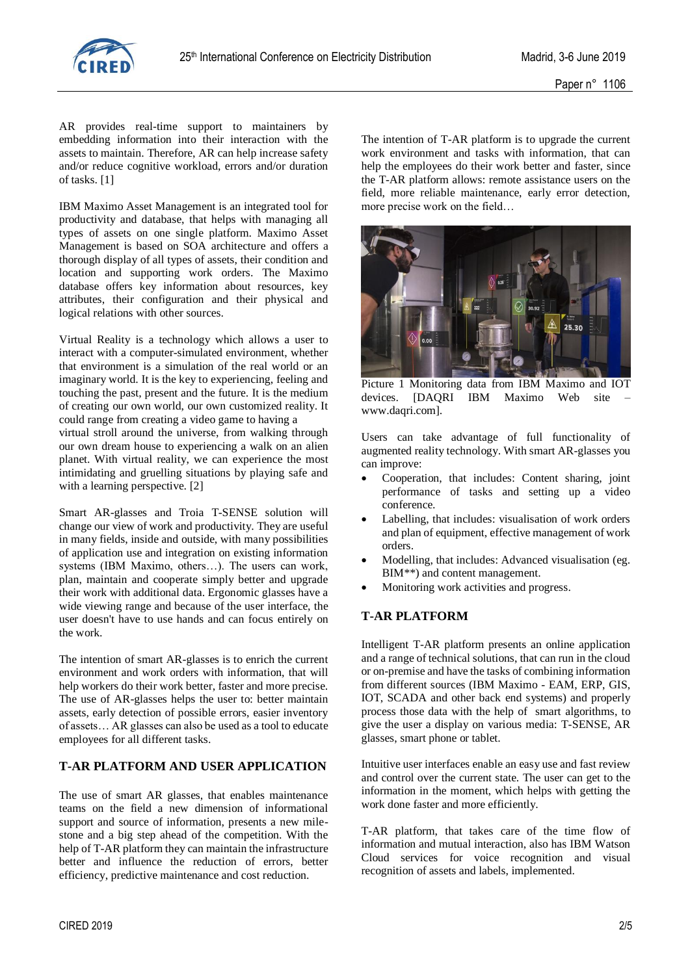

AR provides real-time support to maintainers by embedding information into their interaction with the assets to maintain. Therefore, AR can help increase safety and/or reduce cognitive workload, errors and/or duration of tasks. [1]

IBM Maximo Asset Management is an integrated tool for productivity and database, that helps with managing all types of assets on one single platform. Maximo Asset Management is based on SOA architecture and offers a thorough display of all types of assets, their condition and location and supporting work orders. The Maximo database offers key information about resources, key attributes, their configuration and their physical and logical relations with other sources.

Virtual Reality is a technology which allows a user to interact with a computer-simulated environment, whether that environment is a simulation of the real world or an imaginary world. It is the key to experiencing, feeling and touching the past, present and the future. It is the medium of creating our own world, our own customized reality. It could range from creating a video game to having a

virtual stroll around the universe, from walking through our own dream house to experiencing a walk on an alien planet. With virtual reality, we can experience the most intimidating and gruelling situations by playing safe and with a learning perspective. [2]

Smart AR-glasses and Troia T-SENSE solution will change our view of work and productivity. They are useful in many fields, inside and outside, with many possibilities of application use and integration on existing information systems (IBM Maximo, others...). The users can work, plan, maintain and cooperate simply better and upgrade their work with additional data. Ergonomic glasses have a wide viewing range and because of the user interface, the user doesn't have to use hands and can focus entirely on the work.

The intention of smart AR-glasses is to enrich the current environment and work orders with information, that will help workers do their work better, faster and more precise. The use of AR-glasses helps the user to: better maintain assets, early detection of possible errors, easier inventory of assets… AR glasses can also be used as a tool to educate employees for all different tasks.

#### **T-AR PLATFORM AND USER APPLICATION**

The use of smart AR glasses, that enables maintenance teams on the field a new dimension of informational support and source of information, presents a new milestone and a big step ahead of the competition. With the help of T-AR platform they can maintain the infrastructure better and influence the reduction of errors, better efficiency, predictive maintenance and cost reduction.

The intention of T-AR platform is to upgrade the current work environment and tasks with information, that can help the employees do their work better and faster, since the T-AR platform allows: remote assistance users on the field, more reliable maintenance, early error detection, more precise work on the field…



Picture 1 Monitoring data from IBM Maximo and IOT devices. [DAQRI IBM Maximo Web site www.daqri.com].

Users can take advantage of full functionality of augmented reality technology. With smart AR-glasses you can improve:

- Cooperation, that includes: Content sharing, joint performance of tasks and setting up a video conference.
- Labelling, that includes: visualisation of work orders and plan of equipment, effective management of work orders.
- Modelling, that includes: Advanced visualisation (eg. BIM\*\*) and content management.
- Monitoring work activities and progress.

#### **T-AR PLATFORM**

Intelligent T-AR platform presents an online application and a range of technical solutions, that can run in the cloud or on-premise and have the tasks of combining information from different sources (IBM Maximo - EAM, ERP, GIS, IOT, SCADA and other back end systems) and properly process those data with the help of smart algorithms, to give the user a display on various media: T-SENSE, AR glasses, smart phone or tablet.

Intuitive user interfaces enable an easy use and fast review and control over the current state. The user can get to the information in the moment, which helps with getting the work done faster and more efficiently.

T-AR platform, that takes care of the time flow of information and mutual interaction, also has IBM Watson Cloud services for voice recognition and visual recognition of assets and labels, implemented.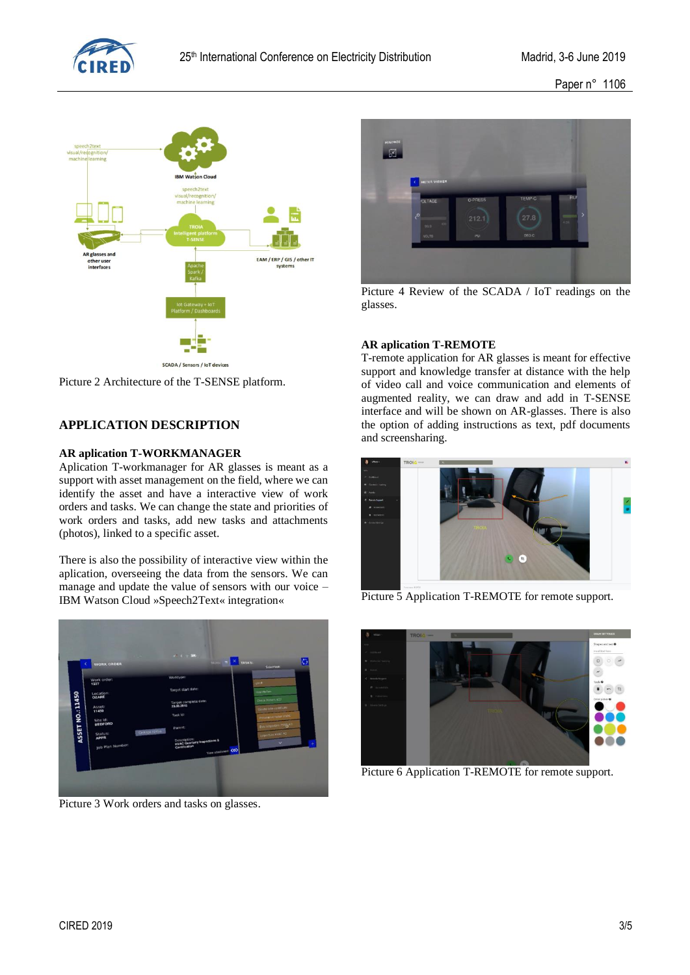

Paper n° 1106



SCADA / Sensors / IoT devices

Picture 2 Architecture of the T-SENSE platform.

## **APPLICATION DESCRIPTION**

#### **AR aplication T-WORKMANAGER**

Aplication T-workmanager for AR glasses is meant as a support with asset management on the field, where we can identify the asset and have a interactive view of work orders and tasks. We can change the state and priorities of work orders and tasks, add new tasks and attachments (photos), linked to a specific asset.

There is also the possibility of interactive view within the aplication, overseeing the data from the sensors. We can manage and update the value of sensors with our voice – IBM Watson Cloud »Speech2Text« integration«



Picture 3 Work orders and tasks on glasses.



Picture 4 Review of the SCADA / IoT readings on the glasses.

#### **AR aplication T-REMOTE**

T-remote application for AR glasses is meant for effective support and knowledge transfer at distance with the help of video call and voice communication and elements of augmented reality, we can draw and add in T-SENSE interface and will be shown on AR-glasses. There is also the option of adding instructions as text, pdf documents and screensharing.



Picture 5 Application T-REMOTE for remote support.



Picture 6 Application T-REMOTE for remote support.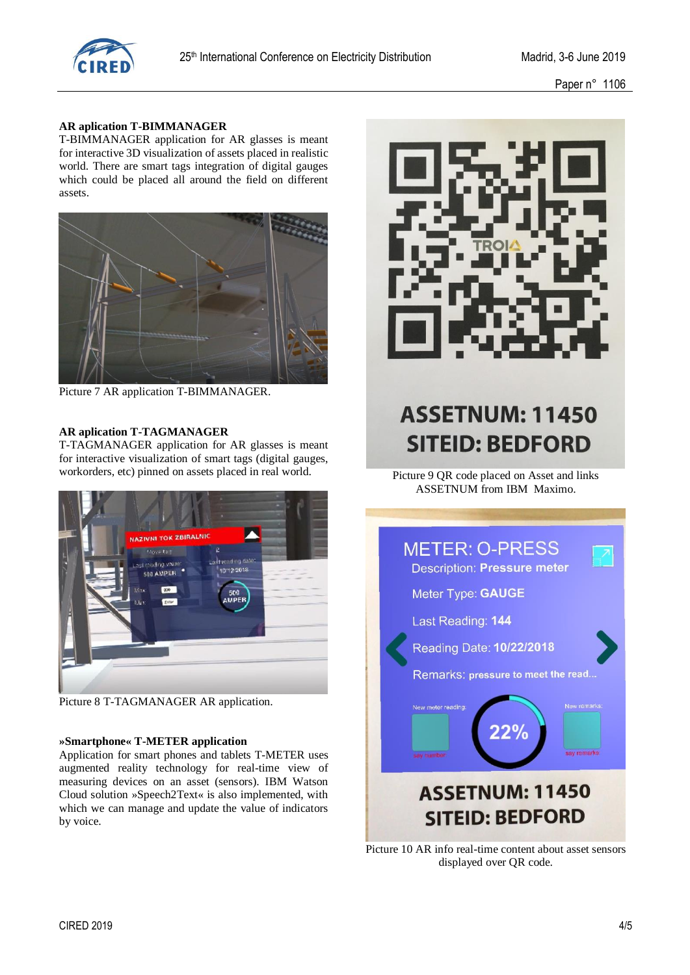

Paper n° 1106

#### **AR aplication T-BIMMANAGER**

T-BIMMANAGER application for AR glasses is meant for interactive 3D visualization of assets placed in realistic world. There are smart tags integration of digital gauges which could be placed all around the field on different assets.



Picture 7 AR application T-BIMMANAGER.

#### **AR aplication T-TAGMANAGER**

T-TAGMANAGER application for AR glasses is meant for interactive visualization of smart tags (digital gauges, workorders, etc) pinned on assets placed in real world.



Picture 8 T-TAGMANAGER AR application.

#### **»Smartphone« T-METER application**

Application for smart phones and tablets T-METER uses augmented reality technology for real-time view of measuring devices on an asset (sensors). IBM Watson Cloud solution »Speech2Text« is also implemented, with which we can manage and update the value of indicators by voice.



# **ASSETNUM: 11450 SITEID: BEDFORD**

Picture 9 QR code placed on Asset and links ASSETNUM from IBM Maximo.



Picture 10 AR info real-time content about asset sensors displayed over QR code.